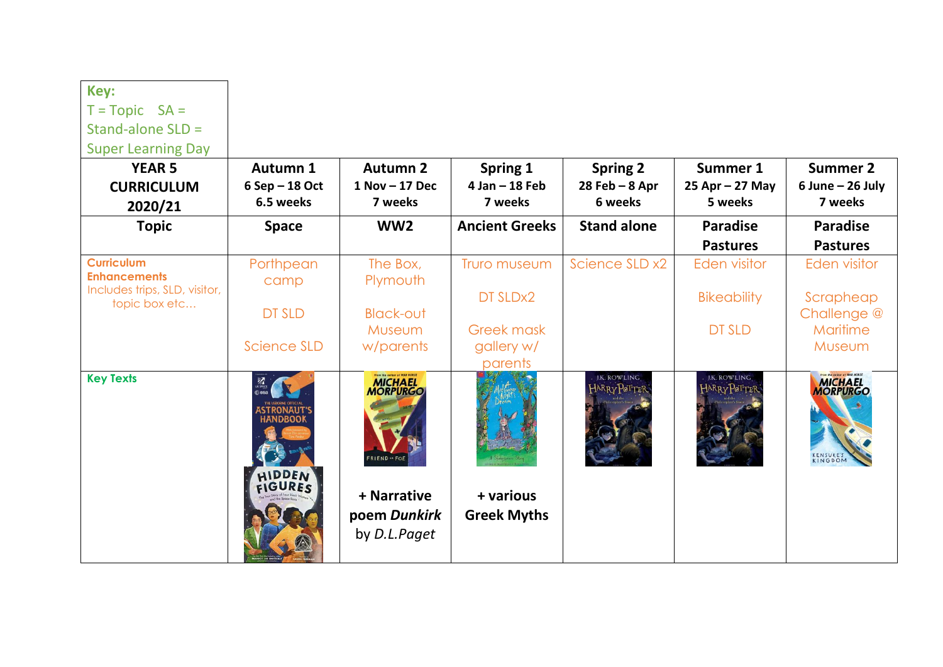| Key:                                           |                                                                                         |                                                                                                   |                               |                                    |                              |                                                      |
|------------------------------------------------|-----------------------------------------------------------------------------------------|---------------------------------------------------------------------------------------------------|-------------------------------|------------------------------------|------------------------------|------------------------------------------------------|
| $T = \text{Topic } SA =$                       |                                                                                         |                                                                                                   |                               |                                    |                              |                                                      |
| Stand-alone SLD =                              |                                                                                         |                                                                                                   |                               |                                    |                              |                                                      |
| <b>Super Learning Day</b>                      |                                                                                         |                                                                                                   |                               |                                    |                              |                                                      |
| <b>YEAR 5</b>                                  | Autumn 1                                                                                | <b>Autumn 2</b>                                                                                   | <b>Spring 1</b>               | <b>Spring 2</b>                    | Summer 1                     | <b>Summer 2</b>                                      |
| <b>CURRICULUM</b><br>2020/21                   | 6 Sep - 18 Oct<br>6.5 weeks                                                             | $1$ Nov $-17$ Dec<br>7 weeks                                                                      | $4$ Jan $-$ 18 Feb<br>7 weeks | $28$ Feb - $8$ Apr<br>6 weeks      | $25$ Apr - 27 May<br>5 weeks | $6$ June $-$ 26 July<br>7 weeks                      |
| <b>Topic</b>                                   | <b>Space</b>                                                                            | WW <sub>2</sub>                                                                                   | <b>Ancient Greeks</b>         | <b>Stand alone</b>                 | <b>Paradise</b>              | <b>Paradise</b>                                      |
|                                                |                                                                                         |                                                                                                   |                               |                                    | <b>Pastures</b>              | <b>Pastures</b>                                      |
| <b>Curriculum</b><br><b>Enhancements</b>       | Porthpean<br>camp                                                                       | The Box,<br>Plymouth                                                                              | Truro museum                  | Science SLD x2                     | <b>Eden visitor</b>          | <b>Eden visitor</b>                                  |
| Includes trips, SLD, visitor,<br>topic box etc |                                                                                         |                                                                                                   | DT SLDx2                      |                                    | <b>Bikeability</b>           | Scrapheap                                            |
|                                                | <b>DT SLD</b>                                                                           | <b>Black-out</b>                                                                                  |                               |                                    |                              | Challenge @                                          |
|                                                |                                                                                         | Museum                                                                                            | <b>Greek mask</b>             |                                    | <b>DT SLD</b>                | Maritime                                             |
|                                                | Science SLD                                                                             | w/parents                                                                                         | gallery w/<br>parents         |                                    |                              | Museum                                               |
| <b>Key Texts</b>                               | $\frac{m}{\sqrt{2}}$<br><b>ASTRONAUT</b><br><b>HANDBOOK</b><br>HIDDEN<br><b>EIGURES</b> | From the outher of WAR HORSE<br><b>MICHAEL</b><br>MORPURGO<br><b>FRIEND</b> ** FOI<br>+ Narrative | + various                     | <b>J.K. ROWLING</b><br>ℍℷ℞℞ℽℙℴℸℸℯ℻ | J.K. ROWLING<br>ℍℷ℞℞ℽℙⅆℸℸⅇ   | From the cuthor of WAR HORSE<br>MICHAEL<br>KENSUKE'S |
|                                                |                                                                                         | poem Dunkirk<br>by D.L.Paget                                                                      | <b>Greek Myths</b>            |                                    |                              |                                                      |

 $\blacksquare$ 

╼┑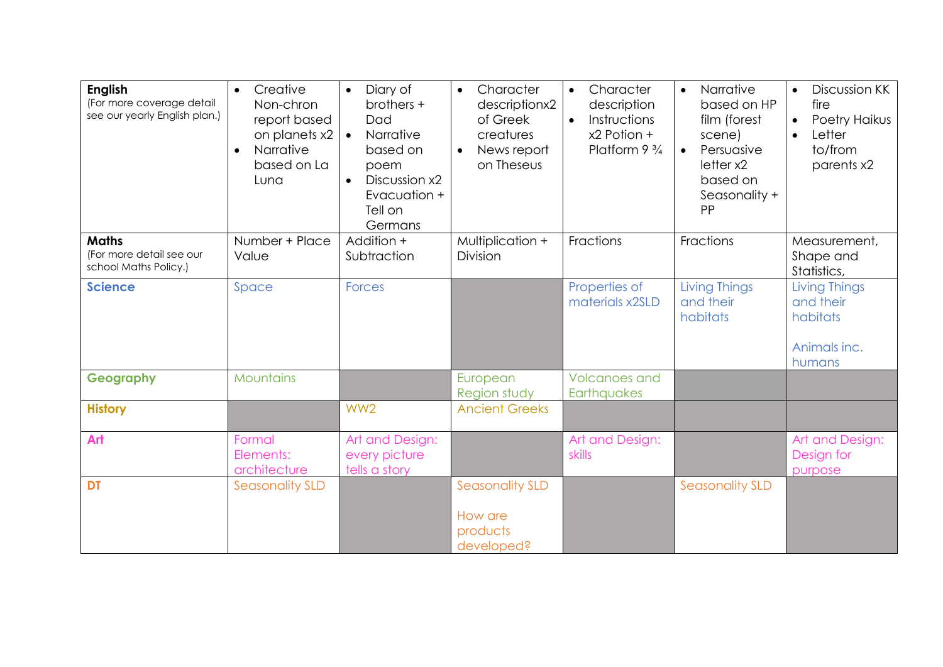| <b>English</b><br>(For more coverage detail<br>see our yearly English plan.) | Creative<br>$\bullet$<br>Non-chron<br>report based<br>on planets x2<br>Narrative<br>$\bullet$<br>based on La<br>Luna | Diary of<br>$\bullet$<br>brothers +<br>Dad<br>Narrative<br>$\bullet$<br>based on<br>poem<br>Discussion x2<br>$\bullet$<br>Evacuation +<br>Tell on<br>Germans | Character<br>$\bullet$<br>descriptionx2<br>of Greek<br>creatures<br>News report<br>$\bullet$<br>on Theseus | Character<br>$\bullet$<br>description<br>Instructions<br>$\bullet$<br>x2 Potion +<br>Platform $9\frac{3}{4}$ | Narrative<br>$\bullet$<br>based on HP<br>film (forest<br>scene)<br>Persuasive<br>$\bullet$<br>letter x2<br>based on<br>Seasonality +<br>PP | Discussion KK<br>$\bullet$<br>fire<br>Poetry Haikus<br>Letter<br>$\bullet$<br>to/from<br>parents x2 |
|------------------------------------------------------------------------------|----------------------------------------------------------------------------------------------------------------------|--------------------------------------------------------------------------------------------------------------------------------------------------------------|------------------------------------------------------------------------------------------------------------|--------------------------------------------------------------------------------------------------------------|--------------------------------------------------------------------------------------------------------------------------------------------|-----------------------------------------------------------------------------------------------------|
| <b>Maths</b><br>(For more detail see our<br>school Maths Policy.)            | Number + Place<br>Value                                                                                              | Addition +<br>Subtraction                                                                                                                                    | Multiplication +<br>Division                                                                               | Fractions                                                                                                    | Fractions                                                                                                                                  | Measurement,<br>Shape and<br>Statistics,                                                            |
| <b>Science</b>                                                               | Space<br><b>Forces</b>                                                                                               |                                                                                                                                                              |                                                                                                            | Properties of<br>materials x2SLD                                                                             | Living Things<br>and their<br>habitats                                                                                                     | Living Things<br>and their<br>habitats<br>Animals inc.<br>humans                                    |
| Geography                                                                    | <b>Mountains</b>                                                                                                     |                                                                                                                                                              | European<br>Region study                                                                                   | <b>Volcanoes and</b><br>Earthquakes                                                                          |                                                                                                                                            |                                                                                                     |
| <b>History</b>                                                               |                                                                                                                      | WW <sub>2</sub>                                                                                                                                              | <b>Ancient Greeks</b>                                                                                      |                                                                                                              |                                                                                                                                            |                                                                                                     |
| Art                                                                          | Formal<br>Elements:<br>architecture                                                                                  | Art and Design:<br>every picture<br>tells a story                                                                                                            |                                                                                                            | Art and Design:<br>skills                                                                                    |                                                                                                                                            | Art and Design:<br>Design for<br>purpose                                                            |
| <b>DT</b>                                                                    | <b>Seasonality SLD</b>                                                                                               |                                                                                                                                                              | <b>Seasonality SLD</b><br>How are<br>products<br>developed?                                                |                                                                                                              | <b>Seasonality SLD</b>                                                                                                                     |                                                                                                     |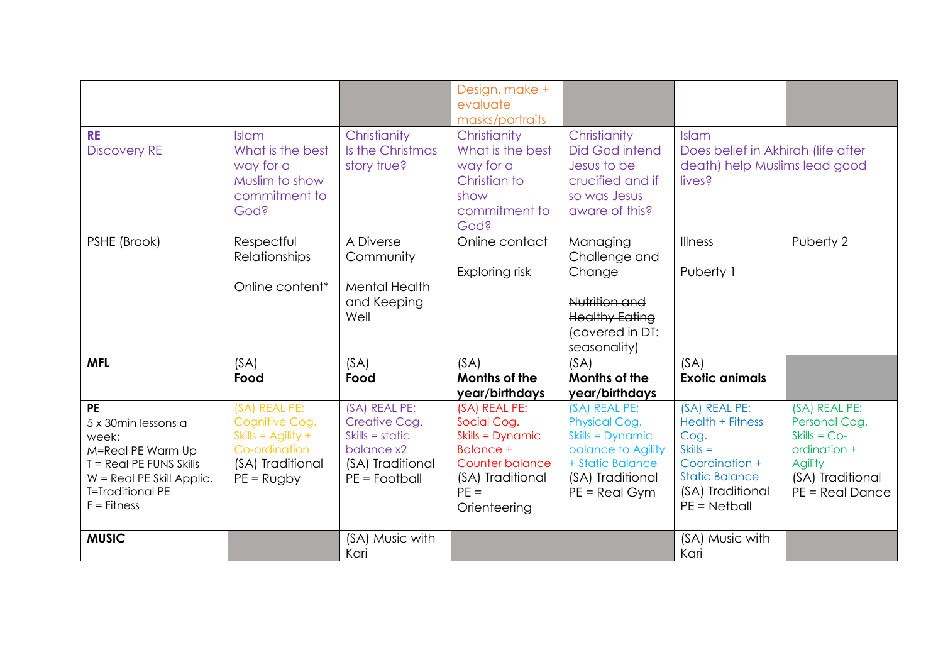| <b>RE</b><br><b>Discovery RE</b>                                                                                                                              | <b>Islam</b><br>What is the best<br>way for a<br>Muslim to show<br>commitment to<br>God?                                | Christianity<br>Is the Christmas<br>story true?                                                          | Design, make +<br>evaluate<br>masks/portraits<br>Christianity<br>What is the best<br>way for a<br>Christian to<br>show<br>commitment to<br>God? | Christianity<br><b>Did God intend</b><br>Jesus to be<br>crucified and if<br>so was Jesus<br>aware of this?                          | Islam<br>Does belief in Akhirah (life after<br>death) help Muslims lead good<br>lives?                                                   |                                                                                                                             |
|---------------------------------------------------------------------------------------------------------------------------------------------------------------|-------------------------------------------------------------------------------------------------------------------------|----------------------------------------------------------------------------------------------------------|-------------------------------------------------------------------------------------------------------------------------------------------------|-------------------------------------------------------------------------------------------------------------------------------------|------------------------------------------------------------------------------------------------------------------------------------------|-----------------------------------------------------------------------------------------------------------------------------|
| PSHE (Brook)                                                                                                                                                  | Respectful<br>Relationships<br>Online content*                                                                          | A Diverse<br>Community<br><b>Mental Health</b><br>and Keeping<br>Well                                    | Online contact<br>Exploring risk                                                                                                                | Managing<br>Challenge and<br>Change<br>Nutrition and<br><b>Healthy Eating</b><br>(covered in DT:<br>seasonality)                    | Illness<br>Puberty 1                                                                                                                     | Puberty 2                                                                                                                   |
| <b>MFL</b>                                                                                                                                                    | (SA)<br>Food                                                                                                            | (SA)<br>Food                                                                                             | (SA)<br>Months of the<br>year/birthdays                                                                                                         | (SA)<br>Months of the<br>year/birthdays                                                                                             | (SA)<br><b>Exotic animals</b>                                                                                                            |                                                                                                                             |
| PE<br>5 x 30min lessons a<br>week:<br>M=Real PE Warm Up<br>T = Real PE FUNS Skills<br>$W =$ Real PE Skill Applic.<br><b>T=Traditional PE</b><br>$F =$ Fitness | (SA) REAL PE:<br>Cognitive Cog.<br>Skills = $\overline{Agility}$ +<br>Co-ordination<br>(SA) Traditional<br>$PE = Rugby$ | (SA) REAL PE:<br>Creative Cog.<br>$Skills = static$<br>balance x2<br>(SA) Traditional<br>$PE = Football$ | (SA) REAL PE:<br>Social Cog.<br>Skills = Dynamic<br><b>Balance +</b><br>Counter balance<br>(SA) Traditional<br>$PE =$<br>Orienteering           | (SA) REAL PE:<br>Physical Cog.<br>Skills = Dynamic<br>balance to Agility<br>+ Static Balance<br>(SA) Traditional<br>$PE = Real Gym$ | (SA) REAL PE:<br>Health + Fitness<br>Cog.<br>$Skills =$<br>Coordination +<br><b>Static Balance</b><br>(SA) Traditional<br>$PE = Netball$ | (SA) REAL PE:<br>Personal Cog.<br>$Skills = Co-$<br>ordination +<br><b>Agility</b><br>(SA) Traditional<br>$PE = Real Dance$ |
| <b>MUSIC</b>                                                                                                                                                  |                                                                                                                         | (SA) Music with<br>Kari                                                                                  |                                                                                                                                                 |                                                                                                                                     | (SA) Music with<br>Kari                                                                                                                  |                                                                                                                             |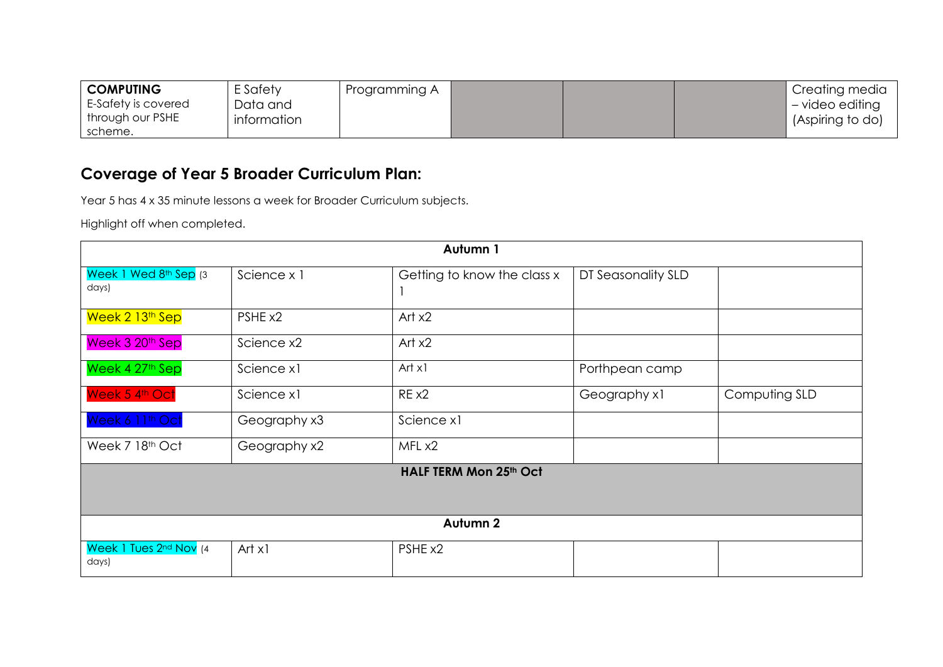| <b>COMPUTING</b>            | E Safety    | Programming A |  | Creating media   |
|-----------------------------|-------------|---------------|--|------------------|
| E-Safety is covered         | Data and    |               |  | - video editing  |
| through our PSHE<br>scheme. | information |               |  | (Aspiring to do) |

## **Coverage of Year 5 Broader Curriculum Plan:**

Year 5 has 4 x 35 minute lessons a week for Broader Curriculum subjects.

Highlight off when completed.

| Autumn 1                        |              |                             |                    |               |  |  |  |  |  |  |
|---------------------------------|--------------|-----------------------------|--------------------|---------------|--|--|--|--|--|--|
| Week 1 Wed 8th Sep (3<br>days)  | Science x 1  | Getting to know the class x | DT Seasonality SLD |               |  |  |  |  |  |  |
| Week 2 13th Sep                 | PSHE x2      | Art $x2$                    |                    |               |  |  |  |  |  |  |
| Week 3 20 <sup>th</sup> Sep     | Science x2   | Art $x2$                    |                    |               |  |  |  |  |  |  |
| Week 4 27th Sep                 | Science x1   | Art x1                      | Porthpean camp     |               |  |  |  |  |  |  |
| Week 5 4th Oct                  | Science x1   | RE x2                       | Geography x1       | Computing SLD |  |  |  |  |  |  |
| Week 6 11th Oct                 | Geography x3 | Science x1                  |                    |               |  |  |  |  |  |  |
| Week 7 18th Oct                 | Geography x2 | MFL x2                      |                    |               |  |  |  |  |  |  |
|                                 |              | HALF TERM Mon 25th Oct      |                    |               |  |  |  |  |  |  |
|                                 |              |                             |                    |               |  |  |  |  |  |  |
| Autumn 2                        |              |                             |                    |               |  |  |  |  |  |  |
| Week 1 Tues 2nd Nov (4<br>days) | Art x1       | PSHE x2                     |                    |               |  |  |  |  |  |  |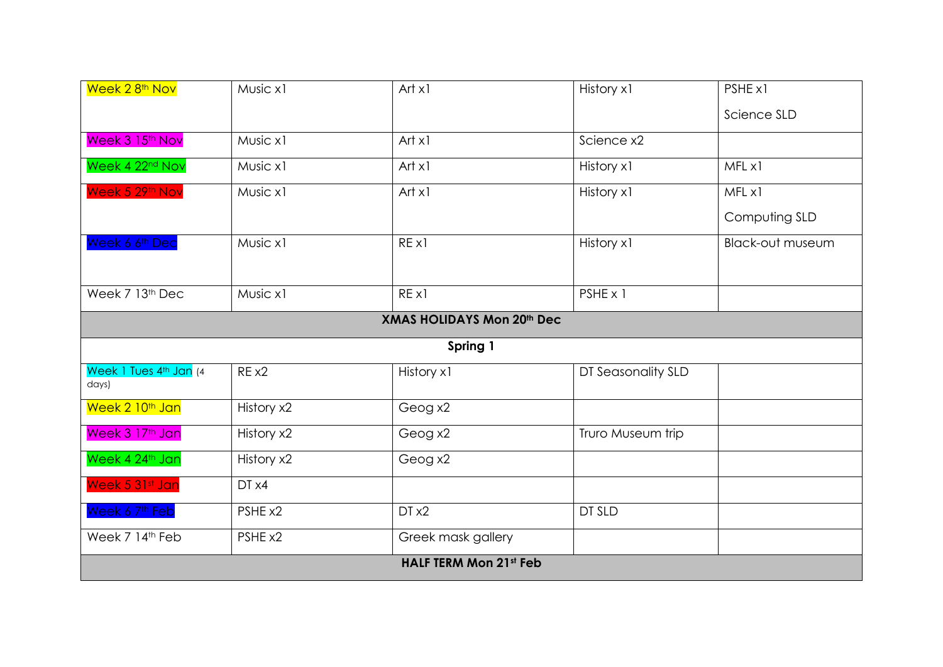| Week 28 <sup>th</sup> Nov       | Music x1                      | Art x1                            | History x1         | PSHE x1                 |  |  |  |  |  |  |
|---------------------------------|-------------------------------|-----------------------------------|--------------------|-------------------------|--|--|--|--|--|--|
|                                 |                               |                                   |                    | Science SLD             |  |  |  |  |  |  |
| Week 3 15 <sup>th</sup> Nov     | Music x1                      | Art x1                            | Science x2         |                         |  |  |  |  |  |  |
| Week 4 22 <sup>nd</sup> Nov     | Music x1                      | Art x1                            | History x1         | MFL x1                  |  |  |  |  |  |  |
| Week 5 29th Nov                 | Music x1                      | Art x1                            | History x1         | MFL x1                  |  |  |  |  |  |  |
|                                 |                               |                                   |                    | Computing SLD           |  |  |  |  |  |  |
| Week 6 6 <sup>th</sup> Dec      | Music x1                      | REX1                              | History x1         | <b>Black-out museum</b> |  |  |  |  |  |  |
|                                 |                               |                                   |                    |                         |  |  |  |  |  |  |
| Week 7 13 <sup>th</sup> Dec     | Music x1                      | REX1                              | PSHE x 1           |                         |  |  |  |  |  |  |
|                                 |                               | <b>XMAS HOLIDAYS Mon 20th Dec</b> |                    |                         |  |  |  |  |  |  |
|                                 |                               | Spring 1                          |                    |                         |  |  |  |  |  |  |
| Week 1 Tues 4th Jan (4<br>days) | RE x2                         | History x1                        | DT Seasonality SLD |                         |  |  |  |  |  |  |
| Week 2 10 <sup>th</sup> Jan     | History x2                    | Geog x2                           |                    |                         |  |  |  |  |  |  |
| Week 3 17th Jan                 | History x2                    | Geog x2                           | Truro Museum trip  |                         |  |  |  |  |  |  |
| Week 4 24th Jan                 | History x2                    | Geog x2                           |                    |                         |  |  |  |  |  |  |
| Week 5 31st Jan                 | DT x4                         |                                   |                    |                         |  |  |  |  |  |  |
| Week 6 7 <sup>th</sup> Feb      | PSHE x2                       | DT x2                             | DT SLD             |                         |  |  |  |  |  |  |
| Week 7 14th Feb                 | PSHE x2                       | Greek mask gallery                |                    |                         |  |  |  |  |  |  |
|                                 | <b>HALF TERM Mon 21st Feb</b> |                                   |                    |                         |  |  |  |  |  |  |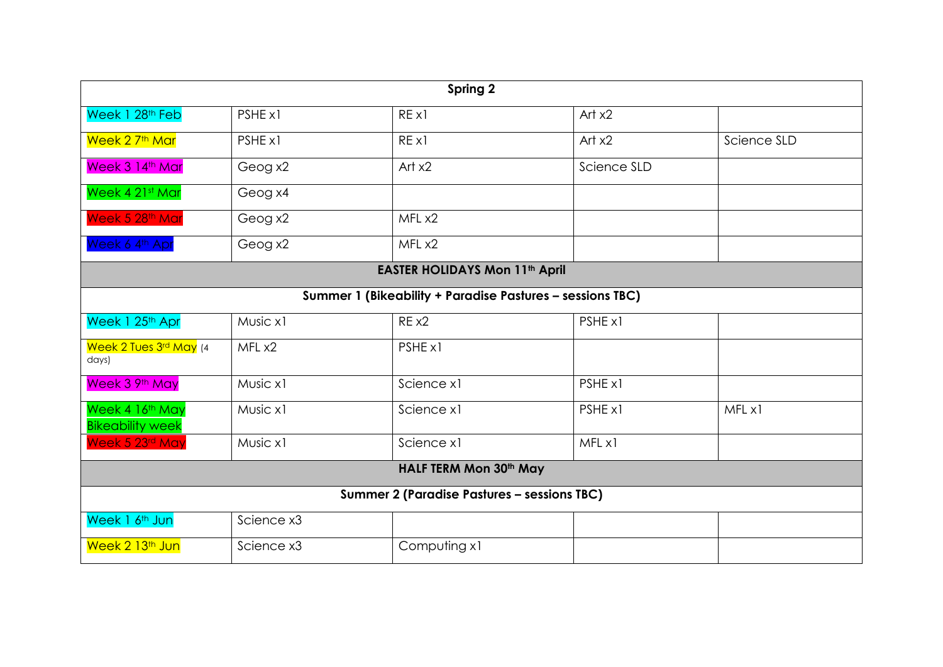|                                            | Spring 2                                           |                                                           |             |             |  |  |  |  |  |  |  |
|--------------------------------------------|----------------------------------------------------|-----------------------------------------------------------|-------------|-------------|--|--|--|--|--|--|--|
| Week 1 28 <sup>th</sup> Feb                | PSHE x1                                            | REX1                                                      | Art $x2$    |             |  |  |  |  |  |  |  |
| Week 2 7 <sup>th</sup> Mar                 | PSHE x1                                            | REX1                                                      | Art $x2$    | Science SLD |  |  |  |  |  |  |  |
| Week 3 14th Mar                            | Geog x2                                            | Art $x2$                                                  | Science SLD |             |  |  |  |  |  |  |  |
| Week 4 21st Mar                            | Geog x4                                            |                                                           |             |             |  |  |  |  |  |  |  |
| Week 5 28th Mar                            | Geog x2                                            | MFL x2                                                    |             |             |  |  |  |  |  |  |  |
| Week 6 4th Apr                             | Geog x2                                            | MFL x2                                                    |             |             |  |  |  |  |  |  |  |
|                                            |                                                    | <b>EASTER HOLIDAYS Mon 11th April</b>                     |             |             |  |  |  |  |  |  |  |
|                                            |                                                    | Summer 1 (Bikeability + Paradise Pastures - sessions TBC) |             |             |  |  |  |  |  |  |  |
| Week 1 25th Apr                            | Music x1                                           | RE x2                                                     | PSHE x1     |             |  |  |  |  |  |  |  |
| Week 2 Tues 3rd May (4<br>days)            | MFL x2                                             | PSHE x1                                                   |             |             |  |  |  |  |  |  |  |
| Week 3 9th May                             | Music x1                                           | Science x1                                                | PSHE x1     |             |  |  |  |  |  |  |  |
| Week 4 16th May<br><b>Bikeability week</b> | Music x1                                           | Science x1                                                | PSHE x1     | MFL x1      |  |  |  |  |  |  |  |
| Week 5 23rd May                            | Music x1                                           | Science x1                                                | MFL x1      |             |  |  |  |  |  |  |  |
|                                            |                                                    | HALF TERM Mon 30th May                                    |             |             |  |  |  |  |  |  |  |
|                                            | <b>Summer 2 (Paradise Pastures - sessions TBC)</b> |                                                           |             |             |  |  |  |  |  |  |  |
| Week 1 6 <sup>th</sup> Jun                 | Science x3                                         |                                                           |             |             |  |  |  |  |  |  |  |
| Week 2 13 <sup>th</sup> Jun                | Science x3                                         | Computing x1                                              |             |             |  |  |  |  |  |  |  |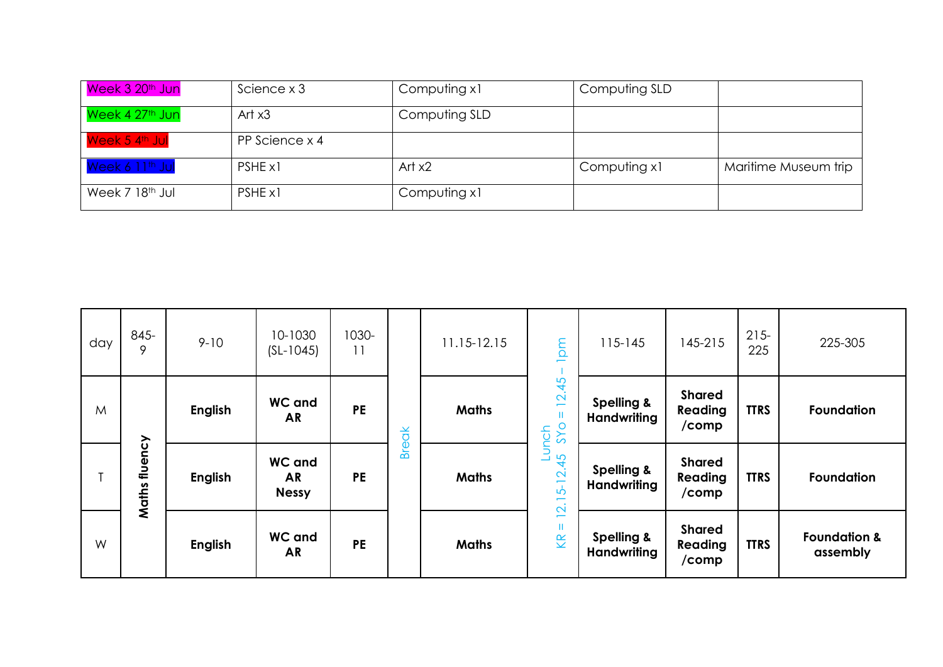| Week 3 20 <sup>th</sup> Jun | Science x 3    | Computing x1  | Computing SLD |                      |
|-----------------------------|----------------|---------------|---------------|----------------------|
| Week 4 27 <sup>th</sup> Jun | Art $x3$       | Computing SLD |               |                      |
| Week 5 4 <sup>th</sup> Jul  | PP Science x 4 |               |               |                      |
| Week 6 11 <sup>th</sup> Jul | PSHE x1        | Art $x2$      | Computing x1  | Maritime Museum trip |
| Week 7 18 <sup>th</sup> Jul | PSHE x1        | Computing x1  |               |                      |

| day | $845 -$<br>9     | $9 - 10$       | 10-1030<br>$(SL-1045)$                     | 1030-<br>11 |              | 11.15-12.15  | ma                                                                          | $115 - 145$                                 | 145-215                           | $215 -$<br>225 | 225-305                             |
|-----|------------------|----------------|--------------------------------------------|-------------|--------------|--------------|-----------------------------------------------------------------------------|---------------------------------------------|-----------------------------------|----------------|-------------------------------------|
| M   |                  | <b>English</b> | <b>WC</b> and<br><b>AR</b>                 | <b>PE</b>   | <b>Break</b> | <b>Maths</b> | 2.45<br>$\overline{\phantom{0}}$<br>Ш<br>unch<br>SYO                        | <b>Spelling &amp;</b><br><b>Handwriting</b> | <b>Shared</b><br>Reading<br>/comp | <b>TTRS</b>    | <b>Foundation</b>                   |
|     | fluency<br>Maths | <b>English</b> | <b>WC</b> and<br><b>AR</b><br><b>Nessy</b> | <b>PE</b>   |              | <b>Maths</b> | S<br>4<br>$\mathbf{\Omega}$<br>$\mathbf{b}$<br>÷<br>$\overline{\mathbf{N}}$ | <b>Spelling &amp;</b><br><b>Handwriting</b> | <b>Shared</b><br>Reading<br>/comp | <b>TTRS</b>    | <b>Foundation</b>                   |
| W   |                  | <b>English</b> | <b>WC and</b><br><b>AR</b>                 | <b>PE</b>   |              | <b>Maths</b> | $\overline{\phantom{0}}$<br>Ш<br>K                                          | <b>Spelling &amp;</b><br><b>Handwriting</b> | <b>Shared</b><br>Reading<br>/comp | <b>TTRS</b>    | <b>Foundation &amp;</b><br>assembly |